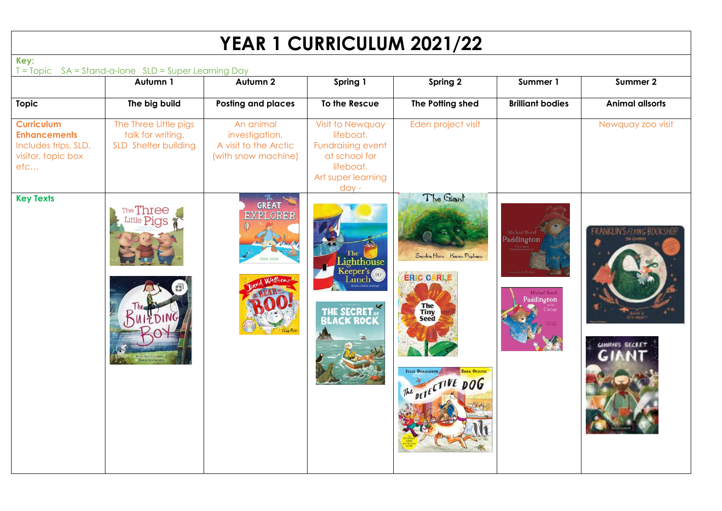## **YEAR 1 CURRICULUM 2021/22**

| Key:                                                                                          | T = Topic SA = Stand-a-lone SLD = Super Learning Day               |                                                                             |                                                                                                                   |                                                                                                                                                         |                                                                    |                                                           |  |  |  |  |
|-----------------------------------------------------------------------------------------------|--------------------------------------------------------------------|-----------------------------------------------------------------------------|-------------------------------------------------------------------------------------------------------------------|---------------------------------------------------------------------------------------------------------------------------------------------------------|--------------------------------------------------------------------|-----------------------------------------------------------|--|--|--|--|
|                                                                                               | Autumn 1                                                           | Autumn <sub>2</sub>                                                         | Spring 1                                                                                                          | Spring 2                                                                                                                                                | Summer 1                                                           | Summer 2                                                  |  |  |  |  |
| <b>Topic</b>                                                                                  | The big build                                                      | <b>Posting and places</b>                                                   | To the Rescue                                                                                                     | The Potting shed                                                                                                                                        | <b>Brilliant bodies</b>                                            | <b>Animal allsorts</b>                                    |  |  |  |  |
| <b>Curriculum</b><br><b>Enhancements</b><br>Includes trips, SLD,<br>visitor, topic box<br>etc | The Three Little pigs<br>talk for writing.<br>SLD Shelter building | An animal<br>investigation.<br>A visit to the Arctic<br>(with snow machine) | Visit to Newquay<br>lifeboat.<br>Fundraising event<br>at school for<br>lifeboat.<br>Art super learning<br>$day -$ | Eden project visit                                                                                                                                      |                                                                    | Newquay zoo visit                                         |  |  |  |  |
| <b>Key Texts</b>                                                                              | The Three<br>Little Pias<br><b>Dwin Litere</b>                     | <b>GREAT</b><br>EXPLORER                                                    | The<br>Lighthouse<br>Keeper's<br>ainch<br>THE SECRET.                                                             | The Giant<br>Sandra Horn Karen Popham<br><b>ERIC CARLE</b><br>The<br>Tiny<br>Seed<br><b>JULIA DONALDSON</b><br><b>SARA OGILVIE</b><br>The DETECTIVE DOG | Michael Bond<br>Paddington<br>Michael Bond<br>Paddington<br>Circus | ANKLIN'S <i>P.YNG</i> BOOKSHOF<br><b>GINNINI'S SECRET</b> |  |  |  |  |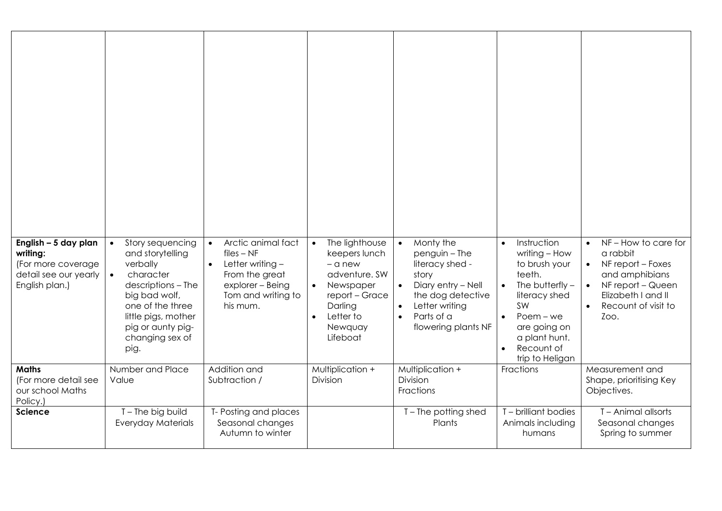| English - 5 day plan<br>writing:<br>(For more coverage<br>detail see our yearly<br>English plan.) | Story sequencing<br>$\bullet$<br>and storytelling<br>verbally<br>character<br>$\bullet$<br>descriptions - The<br>big bad wolf, | Arctic animal fact<br>$\bullet$<br>$files - NF$<br>Letter writing $-$<br>$\bullet$<br>From the great<br>explorer - Being<br>Tom and writing to | The lighthouse<br>$\bullet$<br>keepers lunch<br>$-$ a new<br>adventure, SW<br>Newspaper<br>$\bullet$<br>report - Grace | Monty the<br>$\bullet$<br>$p$ enguin – The<br>literacy shed -<br>story<br>Diary entry - Nell<br>$\bullet$<br>the dog detective | Instruction<br>$\bullet$<br>writing - How<br>to brush your<br>teeth.<br>The butterfly $-$<br>$\bullet$<br>literacy shed | NF-How to care for<br>a rabbit<br>NF report - Foxes<br>and amphibians<br>NF report - Queen<br>Elizabeth I and II |
|---------------------------------------------------------------------------------------------------|--------------------------------------------------------------------------------------------------------------------------------|------------------------------------------------------------------------------------------------------------------------------------------------|------------------------------------------------------------------------------------------------------------------------|--------------------------------------------------------------------------------------------------------------------------------|-------------------------------------------------------------------------------------------------------------------------|------------------------------------------------------------------------------------------------------------------|
|                                                                                                   | one of the three<br>little pigs, mother<br>pig or aunty pig-<br>changing sex of<br>pig.                                        | his mum.                                                                                                                                       | Darling<br>Letter to<br>$\bullet$<br>Newquay<br>Lifeboat                                                               | Letter writing<br>$\bullet$<br>Parts of a<br>$\bullet$<br>flowering plants NF                                                  | <b>SW</b><br>$Poem - we$<br>$\bullet$<br>are going on<br>a plant hunt.<br>Recount of<br>$\bullet$<br>trip to Heligan    | Recount of visit to<br>Zoo.                                                                                      |
| <b>Maths</b><br>(For more detail see<br>our school Maths<br>Policy.)                              | Number and Place<br>Value                                                                                                      | Addition and<br>Subtraction /                                                                                                                  | Multiplication +<br>Division                                                                                           | Multiplication +<br><b>Division</b><br>Fractions                                                                               | Fractions                                                                                                               | Measurement and<br>Shape, prioritising Key<br>Objectives.                                                        |
| <b>Science</b>                                                                                    | T-The big build<br><b>Everyday Materials</b>                                                                                   | T- Posting and places<br>Seasonal changes<br>Autumn to winter                                                                                  |                                                                                                                        | T-The potting shed<br>Plants                                                                                                   | T - brilliant bodies<br>Animals including<br>humans                                                                     | T - Animal allsorts<br>Seasonal changes<br>Spring to summer                                                      |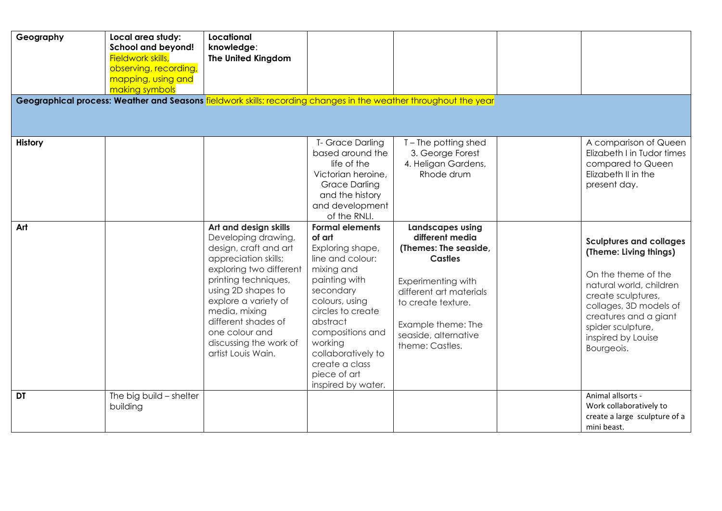| Geography      | Local area study:<br><b>School and beyond!</b><br><b>Fieldwork skills,</b><br>observing, recording,<br>mapping, using and<br>making symbols | Locational<br>knowledge:<br>The United Kingdom<br>Geographical process: Weather and Seasons fieldwork skills: recording changes in the weather throughout the year                                                                                                                                       |                                                                                                                                                                                                                                                                                      |                                                                                                                                                                                                                               |                                                                                                                                                                                                                                              |
|----------------|---------------------------------------------------------------------------------------------------------------------------------------------|----------------------------------------------------------------------------------------------------------------------------------------------------------------------------------------------------------------------------------------------------------------------------------------------------------|--------------------------------------------------------------------------------------------------------------------------------------------------------------------------------------------------------------------------------------------------------------------------------------|-------------------------------------------------------------------------------------------------------------------------------------------------------------------------------------------------------------------------------|----------------------------------------------------------------------------------------------------------------------------------------------------------------------------------------------------------------------------------------------|
| <b>History</b> |                                                                                                                                             |                                                                                                                                                                                                                                                                                                          | T- Grace Darling<br>based around the<br>life of the<br>Victorian heroine,<br><b>Grace Darling</b><br>and the history<br>and development<br>of the RNLI.                                                                                                                              | T-The potting shed<br>3. George Forest<br>4. Heligan Gardens,<br>Rhode drum                                                                                                                                                   | A comparison of Queen<br>Elizabeth I in Tudor times<br>compared to Queen<br>Elizabeth II in the<br>present day.                                                                                                                              |
| Art            |                                                                                                                                             | Art and design skills<br>Developing drawing,<br>design, craft and art<br>appreciation skills;<br>exploring two different<br>printing techniques,<br>using 2D shapes to<br>explore a variety of<br>media, mixing<br>different shades of<br>one colour and<br>discussing the work of<br>artist Louis Wain. | <b>Formal elements</b><br>of art<br>Exploring shape,<br>line and colour:<br>mixing and<br>painting with<br>secondary<br>colours, using<br>circles to create<br>abstract<br>compositions and<br>working<br>collaboratively to<br>create a class<br>piece of art<br>inspired by water. | <b>Landscapes using</b><br>different media<br>(Themes: The seaside,<br><b>Castles</b><br>Experimenting with<br>different art materials<br>to create texture.<br>Example theme: The<br>seaside, alternative<br>theme: Castles. | <b>Sculptures and collages</b><br>(Theme: Living things)<br>On the theme of the<br>natural world, children<br>create sculptures,<br>collages, 3D models of<br>creatures and a giant<br>spider sculpture,<br>inspired by Louise<br>Bourgeois. |
| <b>DT</b>      | The big build - shelter<br>building                                                                                                         |                                                                                                                                                                                                                                                                                                          |                                                                                                                                                                                                                                                                                      |                                                                                                                                                                                                                               | Animal allsorts -<br>Work collaboratively to<br>create a large sculpture of a<br>mini beast.                                                                                                                                                 |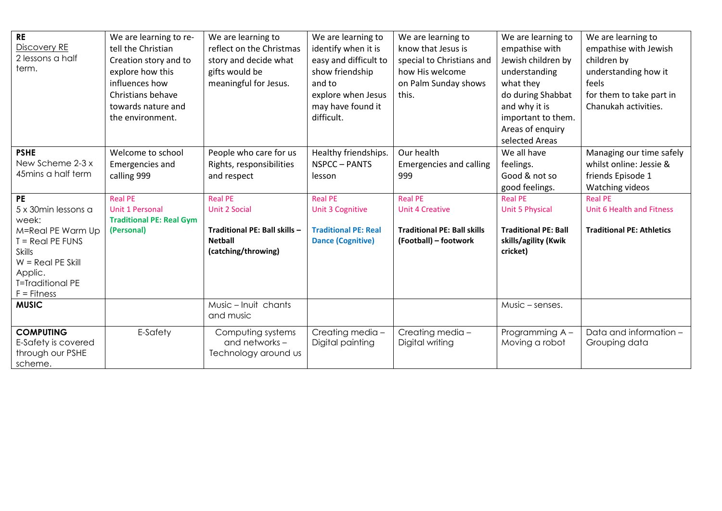| <b>RE</b><br>Discovery RE<br>2 lessons a half<br>term.                                                                                                                       | We are learning to re-<br>tell the Christian<br>Creation story and to<br>explore how this<br>influences how<br>Christians behave<br>towards nature and<br>the environment. | We are learning to<br>reflect on the Christmas<br>story and decide what<br>gifts would be<br>meaningful for Jesus. | We are learning to<br>identify when it is<br>easy and difficult to<br>show friendship<br>and to<br>explore when Jesus<br>may have found it<br>difficult. | We are learning to<br>know that Jesus is<br>special to Christians and<br>how His welcome<br>on Palm Sunday shows<br>this. | We are learning to<br>empathise with<br>Jewish children by<br>understanding<br>what they<br>do during Shabbat<br>and why it is<br>important to them.<br>Areas of enquiry<br>selected Areas | We are learning to<br>empathise with Jewish<br>children by<br>understanding how it<br>feels<br>for them to take part in<br>Chanukah activities. |
|------------------------------------------------------------------------------------------------------------------------------------------------------------------------------|----------------------------------------------------------------------------------------------------------------------------------------------------------------------------|--------------------------------------------------------------------------------------------------------------------|----------------------------------------------------------------------------------------------------------------------------------------------------------|---------------------------------------------------------------------------------------------------------------------------|--------------------------------------------------------------------------------------------------------------------------------------------------------------------------------------------|-------------------------------------------------------------------------------------------------------------------------------------------------|
| <b>PSHE</b><br>New Scheme 2-3 x<br>45mins a half term                                                                                                                        | Welcome to school<br><b>Emergencies and</b><br>calling 999                                                                                                                 | People who care for us<br>Rights, responsibilities<br>and respect                                                  | Healthy friendships.<br>NSPCC-PANTS<br>lesson                                                                                                            | Our health<br><b>Emergencies and calling</b><br>999                                                                       | We all have<br>feelings.<br>Good & not so<br>good feelings.                                                                                                                                | Managing our time safely<br>whilst online: Jessie &<br>friends Episode 1<br>Watching videos                                                     |
| <b>PE</b><br>5 x 30min lessons a<br>week:<br>M=Real PE Warm Up<br>$T = Real PE$ FUNS<br>Skills<br>$W = Real PE$ Skill<br>Applic.<br><b>T=Traditional PE</b><br>$F =$ Fitness | <b>Real PE</b><br>Unit 1 Personal<br><b>Traditional PE: Real Gym</b><br>(Personal)                                                                                         | <b>Real PE</b><br><b>Unit 2 Social</b><br>Traditional PE: Ball skills -<br><b>Netball</b><br>(catching/throwing)   | <b>Real PE</b><br><b>Unit 3 Cognitive</b><br><b>Traditional PE: Real</b><br><b>Dance (Cognitive)</b>                                                     | <b>Real PE</b><br><b>Unit 4 Creative</b><br><b>Traditional PE: Ball skills</b><br>(Football) - footwork                   | <b>Real PE</b><br><b>Unit 5 Physical</b><br><b>Traditional PE: Ball</b><br>skills/agility (Kwik<br>cricket)                                                                                | <b>Real PE</b><br>Unit 6 Health and Fitness<br><b>Traditional PE: Athletics</b>                                                                 |
| <b>MUSIC</b>                                                                                                                                                                 |                                                                                                                                                                            | Music - Inuit chants<br>and music                                                                                  |                                                                                                                                                          |                                                                                                                           | Music - senses.                                                                                                                                                                            |                                                                                                                                                 |
| <b>COMPUTING</b><br>E-Safety is covered<br>through our PSHE<br>scheme.                                                                                                       | E-Safety                                                                                                                                                                   | Computing systems<br>and networks -<br>Technology around us                                                        | Creating media-<br>Digital painting                                                                                                                      | Creating media -<br>Digital writing                                                                                       | Programming A -<br>Moving a robot                                                                                                                                                          | Data and information -<br>Grouping data                                                                                                         |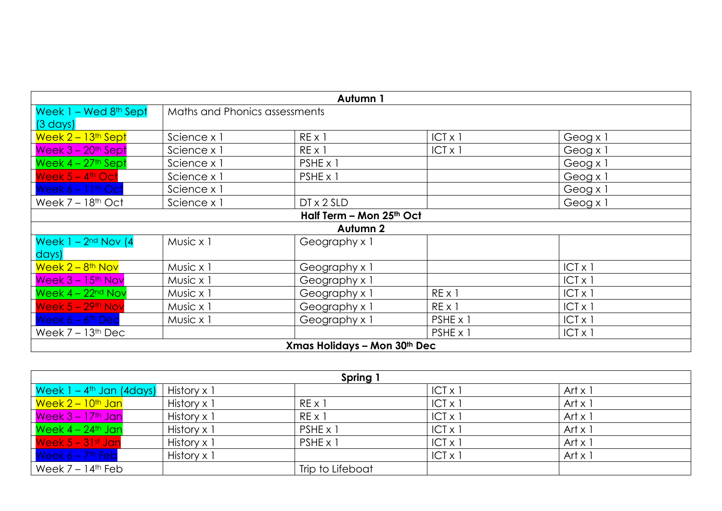|                                  |                               | Autumn 1                     |                |                |
|----------------------------------|-------------------------------|------------------------------|----------------|----------------|
| Week $1 -$ Wed $8th$ Sept        | Maths and Phonics assessments |                              |                |                |
| $(3 \text{ days})$               |                               |                              |                |                |
| Week $2 - 13$ <sup>th</sup> Sept | Science x 1                   | $RE \times 1$                | $ICT \times 1$ | Geog x 1       |
| Week $3 - 20$ <sup>th</sup> Sept | Science x 1                   | $RE \times 1$                | $ICT \times I$ | Geog x 1       |
| Week $4 - 27$ <sup>th</sup> Sept | Science x 1                   | PSHE x 1                     |                | Geog x 1       |
| Week $5 - 4$ <sup>th</sup> Oct   | Science x 1                   | PSHE x 1                     |                | Geog x 1       |
| Week $6 - 11$ <sup>th</sup> Oct  | Science x 1                   |                              |                | Geog x 1       |
| Week $7 - 18$ <sup>th</sup> Oct  | Science x 1                   | $DT \times 2$ SLD            |                | Geog x 1       |
|                                  |                               | Half Term - Mon 25th Oct     |                |                |
|                                  |                               | Autumn 2                     |                |                |
| Week $1 - 2nd$ Nov $(4)$         | Music x 1                     | Geography x 1                |                |                |
| days)                            |                               |                              |                |                |
| Week $2 - 8$ <sup>th</sup> Nov   | Music x 1                     | Geography x 1                |                | $ICT X$ ]      |
| Week $3 - 15$ <sup>th</sup> Nov  | Music x 1                     | Geography x 1                |                | $ CT \times 1$ |
| Week $4 - 22nd Nov$              | Music x 1                     | Geography x 1                | REX1           | ICT × 1        |
| Week $5 - 29$ <sup>th</sup> Nov  | Music x 1                     | Geography x 1                | $RE \times 1$  | $ CT \times 1$ |
| Week $6 - 6$ <sup>th</sup> Dec   | Music x 1                     | Geography x 1                | PSHE x 1       | $ CT \times 1$ |
| Week $7 - 13$ <sup>th</sup> Dec  |                               |                              | PSHE x 1       | $ICT \times 1$ |
|                                  |                               | Xmas Holidays - Mon 30th Dec |                |                |

|                                                    | Spring 1    |                  |                |                |  |  |  |  |  |
|----------------------------------------------------|-------------|------------------|----------------|----------------|--|--|--|--|--|
| Week 1 – 4 <sup>th</sup> Jan (4days)   History x 1 |             |                  | $ CT \times 1$ | Art $x$ 1      |  |  |  |  |  |
| Week 2 – 10 <sup>th</sup> Jan                      | History x 1 | $RE \times 1$    | $ CT \times 1$ | Art $\times$ 1 |  |  |  |  |  |
| Week 3 – 17th Jan                                  | History x 1 | $RE \times 1$    | $ CT \times 1$ | Art $\times$ 1 |  |  |  |  |  |
| Week 4 - 24th Jan                                  | History x 1 | PSHE x 1         | $ CT \times 1$ | Art $\times$ 1 |  |  |  |  |  |
| Week $5 - 31$ st Jan                               | History x 1 | $PSHE \times 1$  | $ CT \times  $ | Art $\times$ 1 |  |  |  |  |  |
| Week $6 - 7$ <sup>th</sup> Feb                     | History x 1 |                  | $ CT \times 1$ | Art $\times$ 1 |  |  |  |  |  |
| $\sqrt{\frac{1}{1}}$ Week 7 – 14 <sup>th</sup> Feb |             | Trip to Lifeboat |                |                |  |  |  |  |  |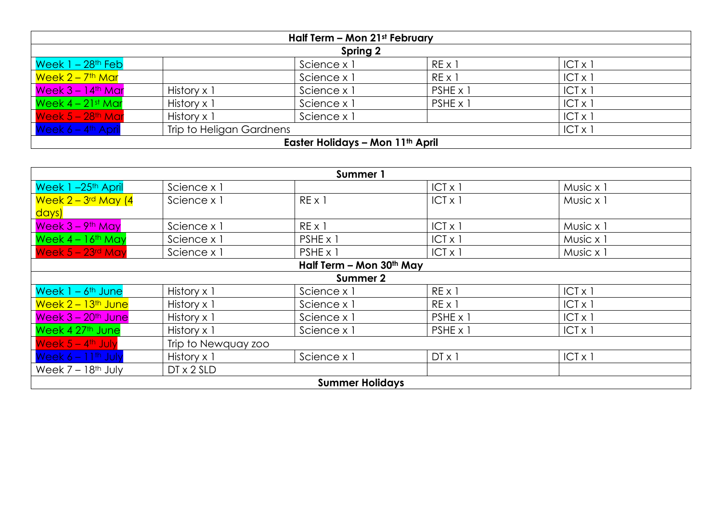| Half Term - Mon 21st February    |                          |                                              |                 |                |  |  |  |  |  |
|----------------------------------|--------------------------|----------------------------------------------|-----------------|----------------|--|--|--|--|--|
|                                  | Spring 2                 |                                              |                 |                |  |  |  |  |  |
| Week 1 – 28 <sup>th</sup> Feb    |                          | Science x 1                                  | $RE \times 1$   | $ CT \times 1$ |  |  |  |  |  |
| <mark>Week 2 – 7th Mar</mark>    |                          | Science x 1                                  | $RE \times 1$   | $ CT \times  $ |  |  |  |  |  |
| $Week 3 - 14th Mar$              | History x 1              | Science x 1                                  | $PSHE \times 1$ | $ CT \times 1$ |  |  |  |  |  |
| Week $4-21$ st Mar               | History x 1              | Science x 1                                  | $PSHE \times 1$ | $ CT \times  $ |  |  |  |  |  |
| Week 5 - 28 <sup>th</sup> Mar    | History x 1              | Science x 1                                  |                 | $ CT \times 1$ |  |  |  |  |  |
| Week $6 - 4$ <sup>th</sup> April | Trip to Heligan Gardnens |                                              |                 | $ CT \times 1$ |  |  |  |  |  |
|                                  |                          | Easter Holidays – Mon 11 <sup>th</sup> April |                 |                |  |  |  |  |  |

| Summer 1                                             |                          |                        |                |                |  |  |  |  |
|------------------------------------------------------|--------------------------|------------------------|----------------|----------------|--|--|--|--|
| Week 1-25 <sup>th</sup> April                        | Science x 1              |                        | $ CT \times 1$ | Music x 1      |  |  |  |  |
| <mark>  Week 2 – 3<sup>rd</sup> May (4</mark>        | Science x 1              | $RE \times 1$          | $ICT \times 1$ | Music x 1      |  |  |  |  |
| <mark>days)</mark>                                   |                          |                        |                |                |  |  |  |  |
| Week 3 - 9th May                                     | Science x 1              | $RE \times 1$          | $ICT \times 1$ | Music x 1      |  |  |  |  |
| Week $4 - 16$ <sup>th</sup> May                      | Science x 1              | PSHE x 1               | $ICT \times 1$ | Music x 1      |  |  |  |  |
| $\sqrt{$ Week 5 – 23rd May                           | Science x 1              | $PSHE \times 1$        | $ICT \times 1$ | Music x 1      |  |  |  |  |
|                                                      | Half Term - Mon 30th May |                        |                |                |  |  |  |  |
|                                                      |                          | Summer 2               |                |                |  |  |  |  |
| Week 1 – 6 <sup>th</sup> June                        | History x 1              | Science x 1            | $RE \times 1$  | $ CT \times 1$ |  |  |  |  |
| <mark>  Week 2 – 13<sup>th</sup> June</mark>         | History x 1              | Science x 1            | $RE \times 1$  | $ CT \times 1$ |  |  |  |  |
| Week 3 – 20 <sup>th</sup> June                       | History x 1              | Science x 1            | PSHE x 1       | $ICT \times 1$ |  |  |  |  |
| Week 4 27 <sup>th</sup> June                         | History x 1              | Science x 1            | PSHE x 1       | $ CT \times 1$ |  |  |  |  |
| Week $5 - 4$ <sup>th</sup> July                      | Trip to Newquay zoo      |                        |                |                |  |  |  |  |
| $\sqrt{\frac{1}{10}}$ Week 6 – 11 <sup>th</sup> July | History x 1              | Science x 1            | $DT \times 1$  | $ CT \times 1$ |  |  |  |  |
| Week $7 - 18$ <sup>th</sup> July                     | $DT \times 2$ SLD        |                        |                |                |  |  |  |  |
|                                                      |                          | <b>Summer Holidays</b> |                |                |  |  |  |  |